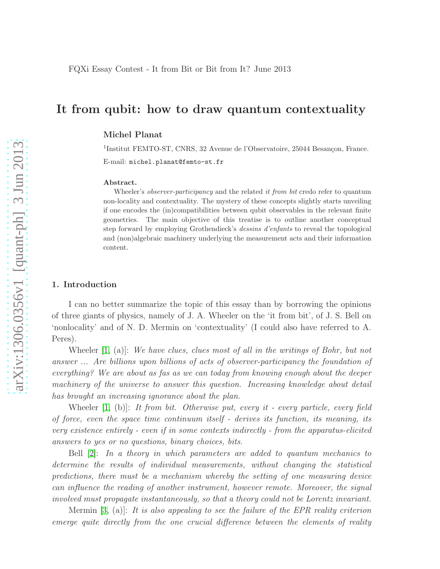# It from qubit: how to draw quantum contextuality

## Michel Planat

<sup>1</sup>Institut FEMTO-ST, CNRS, 32 Avenue de l'Observatoire, 25044 Besançon, France. E-mail: michel.planat@femto-st.fr

#### Abstract.

Wheeler's *observer-participancy* and the related *it from bit* credo refer to quantum non-locality and contextuality. The mystery of these concepts slightly starts unveiling if one encodes the (in)compatibilities between qubit observables in the relevant finite geometries. The main objective of this treatise is to outline another conceptual step forward by employing Grothendieck's dessins d'enfants to reveal the topological and (non)algebraic machinery underlying the measurement acts and their information content.

### 1. Introduction

I can no better summarize the topic of this essay than by borrowing the opinions of three giants of physics, namely of J. A. Wheeler on the 'it from bit', of J. S. Bell on 'nonlocality' and of N. D. Mermin on 'contextuality' (I could also have referred to A. Peres).

Wheeler  $[1, (a)]$ : We have clues, clues most of all in the writings of Bohr, but not answer ... Are billions upon billions of acts of observer-participancy the foundation of everything? We are about as fas as we can today from knowing enough about the deeper machinery of the universe to answer this question. Increasing knowledge about detail has brought an increasing ignorance about the plan.

Wheeler  $[1, (b)]$ : It from bit. Otherwise put, every it - every particle, every field of force, even the space time continuum itself - derives its function, its meaning, its very existence entirely - even if in some contexts indirectly - from the apparatus-elicited answers to yes or no questions, binary choices, bits.

Bell [\[2\]](#page-9-1): In a theory in which parameters are added to quantum mechanics to determine the results of individual measurements, without changing the statistical predictions, there must be a mechanism whereby the setting of one measuring device can influence the reading of another instrument, however remote. Moreover, the signal involved must propagate instantaneously, so that a theory could not be Lorentz invariant.

Mermin [\[3,](#page-9-2) (a)]: It is also appealing to see the failure of the EPR reality criterion emerge quite directly from the one crucial difference between the elements of reality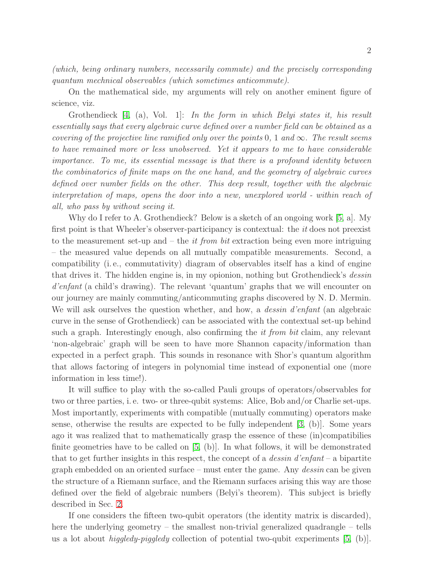(which, being ordinary numbers, necessarily commute) and the precisely corresponding quantum mechnical observables (which sometimes anticommute).

On the mathematical side, my arguments will rely on another eminent figure of science, viz.

Grothendieck [\[4,](#page-9-3) (a), Vol. 1]: In the form in which Belyi states it, his result essentially says that every algebraic curve defined over a number field can be obtained as a covering of the projective line ramified only over the points 0, 1 and  $\infty$ . The result seems to have remained more or less unobserved. Yet it appears to me to have considerable importance. To me, its essential message is that there is a profound identity between the combinatorics of finite maps on the one hand, and the geometry of algebraic curves defined over number fields on the other. This deep result, together with the algebraic interpretation of maps, opens the door into a new, unexplored world - within reach of all, who pass by without seeing it.

Why do I refer to A. Grothendieck? Below is a sketch of an ongoing work [\[5,](#page-9-4) a]. My first point is that Wheeler's observer-participancy is contextual: the *it* does not preexist to the measurement set-up and  $-$  the *it from bit* extraction being even more intriguing – the measured value depends on all mutually compatible measurements. Second, a compatibility (i. e., commutativity) diagram of observables itself has a kind of engine that drives it. The hidden engine is, in my opionion, nothing but Grothendieck's *dessin* d'enfant (a child's drawing). The relevant 'quantum' graphs that we will encounter on our journey are mainly commuting/anticommuting graphs discovered by N. D. Mermin. We will ask ourselves the question whether, and how, a *dessin d'enfant* (an algebraic curve in the sense of Grothendieck) can be associated with the contextual set-up behind such a graph. Interestingly enough, also confirming the *it from bit* claim, any relevant 'non-algebraic' graph will be seen to have more Shannon capacity/information than expected in a perfect graph. This sounds in resonance with Shor's quantum algorithm that allows factoring of integers in polynomial time instead of exponential one (more information in less time!).

It will suffice to play with the so-called Pauli groups of operators/observables for two or three parties, i. e. two- or three-qubit systems: Alice, Bob and/or Charlie set-ups. Most importantly, experiments with compatible (mutually commuting) operators make sense, otherwise the results are expected to be fully independent  $(3, (b))$ . Some years ago it was realized that to mathematically grasp the essence of these (in)compatibilies finite geometries have to be called on [\[5,](#page-9-4) (b)]. In what follows, it will be demonstrated that to get further insights in this respect, the concept of a *dessin d'enfant* – a bipartite graph embedded on an oriented surface – must enter the game. Any dessin can be given the structure of a Riemann surface, and the Riemann surfaces arising this way are those defined over the field of algebraic numbers (Belyi's theorem). This subject is briefly described in Sec. [2.](#page-2-0)

If one considers the fifteen two-qubit operators (the identity matrix is discarded), here the underlying geometry – the smallest non-trivial generalized quadrangle – tells us a lot about *higgledy-piggledy* collection of potential two-qubit experiments  $[5, (b)]$ .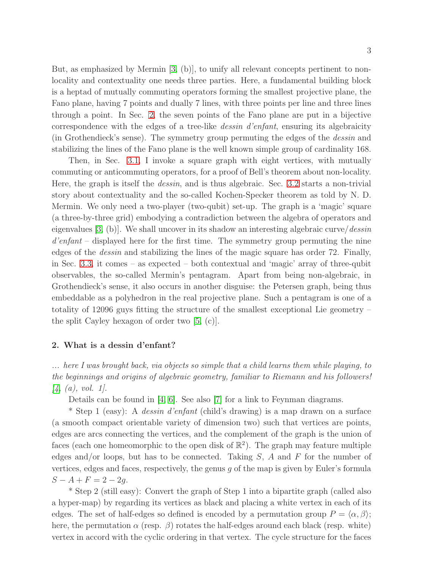But, as emphasized by Mermin [\[3,](#page-9-2) (b)], to unify all relevant concepts pertinent to nonlocality and contextuality one needs three parties. Here, a fundamental building block is a heptad of mutually commuting operators forming the smallest projective plane, the Fano plane, having 7 points and dually 7 lines, with three points per line and three lines through a point. In Sec. [2,](#page-3-0) the seven points of the Fano plane are put in a bijective correspondence with the edges of a tree-like dessin d'enfant, ensuring its algebraicity (in Grothendieck's sense). The symmetry group permuting the edges of the dessin and stabilizing the lines of the Fano plane is the well known simple group of cardinality 168.

Then, in Sec. [3.1,](#page-4-0) I invoke a square graph with eight vertices, with mutually commuting or anticommuting operators, for a proof of Bell's theorem about non-locality. Here, the graph is itself the dessin, and is thus algebraic. Sec. [3.2](#page-6-0) starts a non-trivial story about contextuality and the so-called Kochen-Specker theorem as told by N. D. Mermin. We only need a two-player (two-qubit) set-up. The graph is a 'magic' square (a three-by-three grid) embodying a contradiction between the algebra of operators and eigenvalues  $(3, (b))$ . We shall uncover in its shadow an interesting algebraic curve/dessin d'enfant – displayed here for the first time. The symmetry group permuting the nine edges of the dessin and stabilizing the lines of the magic square has order 72. Finally, in Sec. [3.3,](#page-7-0) it comes – as expected – both contextual and 'magic' array of three-qubit observables, the so-called Mermin's pentagram. Apart from being non-algebraic, in Grothendieck's sense, it also occurs in another disguise: the Petersen graph, being thus embeddable as a polyhedron in the real projective plane. Such a pentagram is one of a totality of 12096 guys fitting the structure of the smallest exceptional Lie geometry – the split Cayley hexagon of order two [\[5,](#page-9-4) (c)].

## <span id="page-2-0"></span>2. What is a dessin d'enfant?

... here I was brought back, via objects so simple that a child learns them while playing, to the beginnings and origins of algebraic geometry, familiar to Riemann and his followers!  $[4, (a), vol. 1].$  $[4, (a), vol. 1].$ 

Details can be found in [\[4,](#page-9-3) [6\]](#page-9-5). See also [\[7\]](#page-9-6) for a link to Feynman diagrams.

\* Step 1 (easy): A dessin d'enfant (child's drawing) is a map drawn on a surface (a smooth compact orientable variety of dimension two) such that vertices are points, edges are arcs connecting the vertices, and the complement of the graph is the union of faces (each one homeomorphic to the open disk of  $\mathbb{R}^2$ ). The graph may feature multiple edges and/or loops, but has to be connected. Taking  $S$ ,  $A$  and  $F$  for the number of vertices, edges and faces, respectively, the genus  $q$  of the map is given by Euler's formula  $S - A + F = 2 - 2g.$ 

\* Step 2 (still easy): Convert the graph of Step 1 into a bipartite graph (called also a hyper-map) by regarding its vertices as black and placing a white vertex in each of its edges. The set of half-edges so defined is encoded by a permutation group  $P = \langle \alpha, \beta \rangle$ ; here, the permutation  $\alpha$  (resp.  $\beta$ ) rotates the half-edges around each black (resp. white) vertex in accord with the cyclic ordering in that vertex. The cycle structure for the faces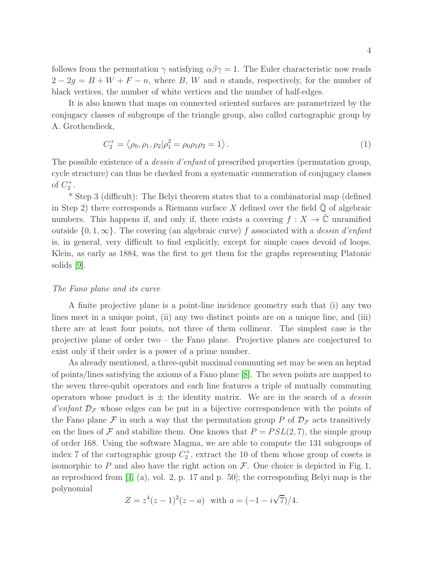follows from the permutation  $\gamma$  satisfying  $\alpha\beta\gamma=1$ . The Euler characteristic now reads  $2-2g = B+W+F-n$ , where B, W and n stands, respectively, for the number of black vertices, the number of white vertices and the number of half-edges.

It is also known that maps on connected oriented surfaces are parametrized by the conjugacy classes of subgroups of the triangle group, also called cartographic group by A. Grothendieck,

<span id="page-3-1"></span>
$$
C_2^+ = \langle \rho_0, \rho_1, \rho_2 | \rho_1^2 = \rho_0 \rho_1 \rho_2 = 1 \rangle.
$$
 (1)

The possible existence of a dessin d'enfant of prescribed properties (permutation group, cycle structure) can thus be checked from a systematic enumeration of conjugacy classes of  $C_2^+$ .

\* Step 3 (difficult): The Belyi theorem states that to a combinatorial map (defined in Step 2) there corresponds a Riemann surface X defined over the field  $\mathbb Q$  of algebraic numbers. This happens if, and only if, there exists a covering  $f: X \to \overline{\mathbb{C}}$  unramified outside  $\{0, 1, \infty\}$ . The covering (an algebraic curve) f associated with a dessin d'enfant is, in general, very difficult to find explicitly, except for simple cases devoid of loops. Klein, as early as 1884, was the first to get them for the graphs representing Platonic solids [\[9\]](#page-9-7).

## <span id="page-3-0"></span>The Fano plane and its curve

A finite projective plane is a point-line incidence geometry such that (i) any two lines meet in a unique point, (ii) any two distinct points are on a unique line, and (iii) there are at least four points, not three of them collinear. The simplest case is the projective plane of order two – the Fano plane. Projective planes are conjectured to exist only if their order is a power of a prime number.

As already mentioned, a three-qubit maximal commuting set may be seen an heptad of points/lines satisfying the axioms of a Fano plane [\[8\]](#page-9-8). The seven points are mapped to the seven three-qubit operators and each line features a triple of mutually commuting operators whose product is  $\pm$  the identity matrix. We are in the search of a *dessin* d'enfant  $\mathcal{D}_{\mathcal{F}}$  whose edges can be put in a bijective correspondence with the points of the Fano plane F in such a way that the permutation group P of  $\mathcal{D}_{\mathcal{F}}$  acts transitively on the lines of F and stabilize them. One knows that  $P = PSL(2, 7)$ , the simple group of order 168. Using the software Magma, we are able to compute the 131 subgroups of index 7 of the cartographic group  $C_2^+$ , extract the 10 of them whose group of cosets is isomorphic to P and also have the right action on  $\mathcal F$ . One choice is depicted in Fig. 1, as reproduced from [\[4,](#page-9-3) (a), vol. 2, p. 17 and p. 50]; the corresponding Belyi map is the polynomial

$$
Z = z4(z - 1)2(z - a) \text{ with } a = (-1 - i\sqrt{7})/4.
$$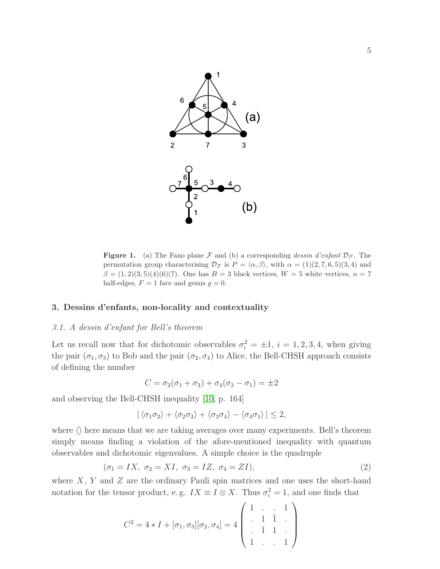

**Figure 1.** (a) The Fano plane F and (b) a corresponding dessin d'enfant  $D_{\mathcal{F}}$ . The permutation group characterising  $\mathcal{D}_{\mathcal{F}}$  is  $P = \langle \alpha, \beta \rangle$ , with  $\alpha = (1)(2, 7, 6, 5)(3, 4)$  and  $\beta = (1, 2)(3, 5)(4)(6)(7)$ . One has  $B = 3$  black vertices,  $W = 5$  white vertices,  $n = 7$ half-edges,  $F = 1$  face and genus  $g = 0$ .

## <span id="page-4-0"></span>3. Dessins d'enfants, non-locality and contextuality

## 3.1. A dessin d'enfant for Bell's theorem

Let us recall now that for dichotomic observables  $\sigma_i^2 = \pm 1$ ,  $i = 1, 2, 3, 4$ , when giving the pair  $(\sigma_1, \sigma_3)$  to Bob and the pair  $(\sigma_2, \sigma_4)$  to Alice, the Bell-CHSH approach consists of defining the number

$$
C = \sigma_2(\sigma_1 + \sigma_3) + \sigma_4(\sigma_3 - \sigma_1) = \pm 2
$$

and observing the Bell-CHSH inequality [\[10,](#page-9-9) p. 164]

$$
|\langle \sigma_1 \sigma_2 \rangle + \langle \sigma_2 \sigma_3 \rangle + \langle \sigma_3 \sigma_4 \rangle - \langle \sigma_4 \sigma_1 \rangle | \leq 2,
$$

where  $\langle \rangle$  here means that we are taking averages over many experiments. Bell's theorem simply means finding a violation of the afore-mentioned inequality with quantum observables and dichotomic eigenvalues. A simple choice is the quadruple

<span id="page-4-1"></span>
$$
(\sigma_1 = IX, \ \sigma_2 = XI, \ \sigma_3 = IZ, \ \sigma_4 = ZI), \tag{2}
$$

where  $X, Y$  and  $Z$  are the ordinary Pauli spin matrices and one uses the short-hand notation for the tensor product, e.g.  $IX \equiv I \otimes X$ . Thus  $\sigma_i^2 = 1$ , and one finds that

$$
C^{2} = 4 * I + [\sigma_{1}, \sigma_{3}][\sigma_{2}, \sigma_{4}] = 4 \left( \begin{array}{ccc} 1 & . & . & 1 \\ . & 1 & 1 & . \\ . & 1 & 1 & . \\ 1 & . & . & 1 \end{array} \right)
$$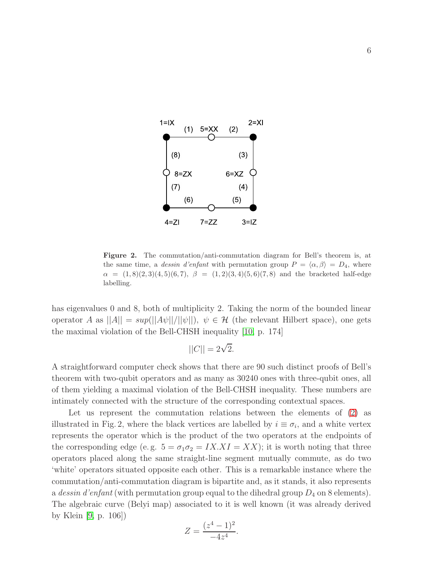

Figure 2. The commutation/anti-commutation diagram for Bell's theorem is, at the same time, a *dessin d'enfant* with permutation group  $P = \langle \alpha, \beta \rangle = D_4$ , where  $\alpha = (1, 8)(2, 3)(4, 5)(6, 7), \ \beta = (1, 2)(3, 4)(5, 6)(7, 8)$  and the bracketed half-edge labelling.

has eigenvalues 0 and 8, both of multiplicity 2. Taking the norm of the bounded linear operator A as  $||A|| = \sup(||A\psi||/||\psi||)$ ,  $\psi \in \mathcal{H}$  (the relevant Hilbert space), one gets the maximal violation of the Bell-CHSH inequality [\[10,](#page-9-9) p. 174]

$$
||C|| = 2\sqrt{2}.
$$

A straightforward computer check shows that there are 90 such distinct proofs of Bell's theorem with two-qubit operators and as many as 30240 ones with three-qubit ones, all of them yielding a maximal violation of the Bell-CHSH inequality. These numbers are intimately connected with the structure of the corresponding contextual spaces.

Let us represent the commutation relations between the elements of [\(2\)](#page-4-1) as illustrated in Fig. 2, where the black vertices are labelled by  $i \equiv \sigma_i$ , and a white vertex represents the operator which is the product of the two operators at the endpoints of the corresponding edge (e.g.  $5 = \sigma_1 \sigma_2 = IX.XI = XX$ ); it is worth noting that three operators placed along the same straight-line segment mutually commute, as do two 'white' operators situated opposite each other. This is a remarkable instance where the commutation/anti-commutation diagram is bipartite and, as it stands, it also represents a dessin d'enfant (with permutation group equal to the dihedral group  $D_4$  on 8 elements). The algebraic curve (Belyi map) associated to it is well known (it was already derived by Klein [\[9,](#page-9-7) p. 106])

$$
Z = \frac{(z^4 - 1)^2}{-4z^4}.
$$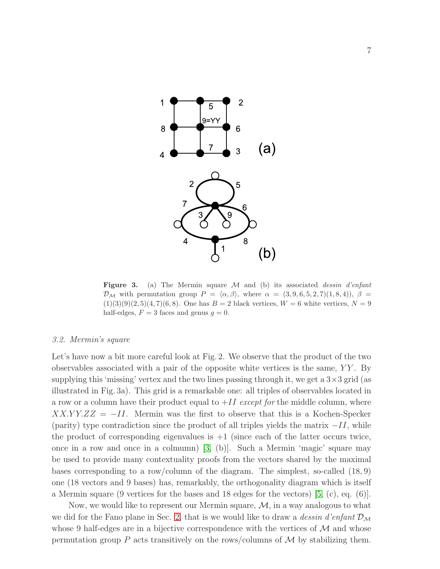

Figure 3. (a) The Mermin square M and (b) its associated *dessin d'enfant*  $\mathcal{D}_\mathcal{M}$  with permutation group  $P = \langle \alpha, \beta \rangle$ , where  $\alpha = (3, 9, 6, 5, 2, 7)(1, 8, 4)$ ,  $\beta =$  $(1)(3)(9)(2,5)(4,7)(6,8)$ . One has  $B = 2$  black vertices,  $W = 6$  white vertices,  $N = 9$ half-edges,  $F = 3$  faces and genus  $g = 0$ .

## <span id="page-6-0"></span>3.2. Mermin's square

Let's have now a bit more careful look at Fig. 2. We observe that the product of the two observables associated with a pair of the opposite white vertices is the same,  $YY$ . By supplying this 'missing' vertex and the two lines passing through it, we get a  $3\times3$  grid (as illustrated in Fig. 3a). This grid is a remarkable one: all triples of observables located in a row or a column have their product equal to  $+II$  except for the middle column, where  $XXX.YY.ZZ = -II.$  Mermin was the first to observe that this is a Kochen-Specker (parity) type contradiction since the product of all triples yields the matrix  $-I$ , while the product of corresponding eigenvalues is  $+1$  (since each of the latter occurs twice, once in a row and once in a colmumn) [\[3,](#page-9-2) (b)]. Such a Mermin 'magic' square may be used to provide many contextuality proofs from the vectors shared by the maximal bases corresponding to a row/column of the diagram. The simplest, so-called (18, 9) one (18 vectors and 9 bases) has, remarkably, the orthogonality diagram which is itself a Mermin square (9 vertices for the bases and 18 edges for the vectors) [\[5,](#page-9-4) (c), eq. (6)].

Now, we would like to represent our Mermin square,  $M$ , in a way analogous to what we did for the Fano plane in Sec. [2,](#page-3-0) that is we would like to draw a dessin d'enfant  $\mathcal{D}_{\mathcal{M}}$ whose 9 half-edges are in a bijective correspondence with the vertices of  $\mathcal M$  and whose permutation group P acts transitively on the rows/columns of  $\mathcal M$  by stabilizing them.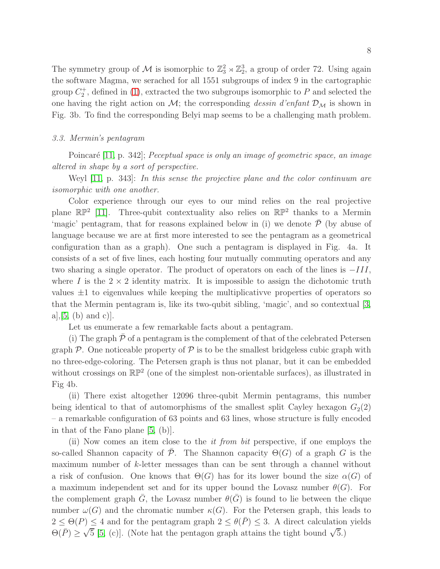The symmetry group of  $\mathcal M$  is isomorphic to  $\mathbb{Z}_3^2 \rtimes \mathbb{Z}_2^3$ , a group of order 72. Using again the software Magma, we serached for all 1551 subgroups of index 9 in the cartographic group  $C_2^+$ , defined in [\(1\)](#page-3-1), extracted the two subgroups isomorphic to P and selected the one having the right action on  $\mathcal{M}$ ; the corresponding *dessin d'enfant*  $\mathcal{D}_{\mathcal{M}}$  is shown in Fig. 3b. To find the corresponding Belyi map seems to be a challenging math problem.

## <span id="page-7-0"></span>3.3. Mermin's pentagram

Poincaré  $[11, p. 342]$ ; Peceptual space is only an image of geometric space, an image altered in shape by a sort of perspective.

Weyl [\[11,](#page-9-10) p. 343]: In this sense the projective plane and the color continuum are isomorphic with one another.

Color experience through our eyes to our mind relies on the real projective plane  $\mathbb{RP}^2$  [\[11\]](#page-9-10). Three-qubit contextuality also relies on  $\mathbb{RP}^2$  thanks to a Mermin 'magic' pentagram, that for reasons explained below in (i) we denote  $\bar{\mathcal{P}}$  (by abuse of language because we are at first more interested to see the pentagram as a geometrical configuration than as a graph). One such a pentagram is displayed in Fig. 4a. It consists of a set of five lines, each hosting four mutually commuting operators and any two sharing a single operator. The product of operators on each of the lines is  $-III$ , where I is the  $2 \times 2$  identity matrix. It is impossible to assign the dichotomic truth values  $\pm 1$  to eigenvalues while keeping the multiplicativve properties of operators so that the Mermin pentagram is, like its two-qubit sibling, 'magic', and so contextual [\[3,](#page-9-2)  $a$ ,  $[5, (b)$  $[5, (b)$  and  $c$ ).

Let us enumerate a few remarkable facts about a pentagram.

(i) The graph  $\mathcal P$  of a pentagram is the complement of that of the celebrated Petersen graph  $\mathcal P$ . One noticeable property of  $\mathcal P$  is to be the smallest bridgeless cubic graph with no three-edge-coloring. The Petersen graph is thus not planar, but it can be embedded without crossings on  $\mathbb{RP}^2$  (one of the simplest non-orientable surfaces), as illustrated in Fig 4b.

(ii) There exist altogether 12096 three-qubit Mermin pentagrams, this number being identical to that of automorphisms of the smallest split Cayley hexagon  $G_2(2)$ – a remarkable configuration of 63 points and 63 lines, whose structure is fully encoded in that of the Fano plane [\[5,](#page-9-4) (b)].

(ii) Now comes an item close to the it from bit perspective, if one employs the so-called Shannon capacity of P. The Shannon capacity  $\Theta(G)$  of a graph G is the maximum number of k-letter messages than can be sent through a channel without a risk of confusion. One knows that  $\Theta(G)$  has for its lower bound the size  $\alpha(G)$  of a maximum independent set and for its upper bound the Lovasz number  $\theta(G)$ . For the complement graph  $\bar{G}$ , the Lovasz number  $\theta(\bar{G})$  is found to lie between the clique number  $\omega(G)$  and the chromatic number  $\kappa(G)$ . For the Petersen graph, this leads to  $2 \leq \Theta(P) \leq 4$  and for the pentagram graph  $2 \leq \theta(\bar{P}) \leq 3$ . A direct calculation yields  $\Theta(\overline{P}) \geq \sqrt{5}$  [\[5,](#page-9-4) (c)]. (Note hat the pentagon graph attains the tight bound  $\sqrt{5}$ .)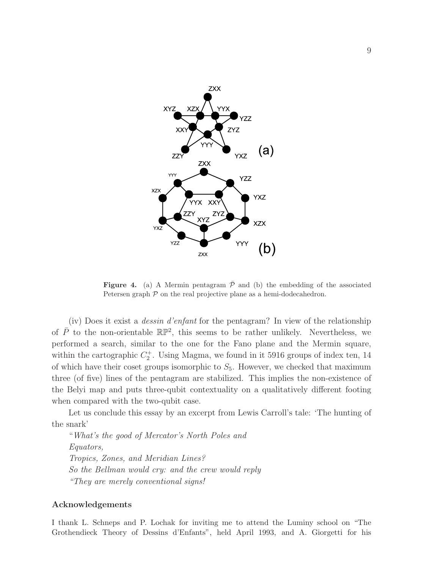

**Figure 4.** (a) A Mermin pentagram  $\bar{\mathcal{P}}$  and (b) the embedding of the associated Petersen graph  $P$  on the real projective plane as a hemi-dodecahedron.

(iv) Does it exist a dessin d'enfant for the pentagram? In view of the relationship of  $\bar{P}$  to the non-orientable  $\mathbb{RP}^2$ , this seems to be rather unlikely. Nevertheless, we performed a search, similar to the one for the Fano plane and the Mermin square, within the cartographic  $C_2^+$ . Using Magma, we found in it 5916 groups of index ten, 14 of which have their coset groups isomorphic to  $S_5$ . However, we checked that maximum three (of five) lines of the pentagram are stabilized. This implies the non-existence of the Belyi map and puts three-qubit contextuality on a qualitatively different footing when compared with the two-qubit case.

Let us conclude this essay by an excerpt from Lewis Carroll's tale: 'The hunting of the snark'

"What's the good of Mercator's North Poles and Equators, Tropics, Zones, and Meridian Lines? So the Bellman would cry: and the crew would reply "They are merely conventional signs!

## Acknowledgements

I thank L. Schneps and P. Lochak for inviting me to attend the Luminy school on "The Grothendieck Theory of Dessins d'Enfants", held April 1993, and A. Giorgetti for his